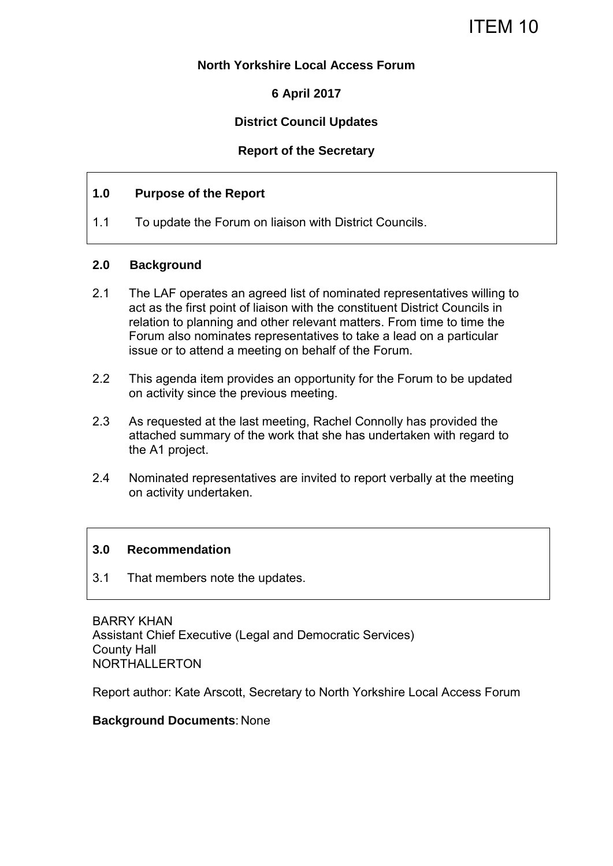#### **North Yorkshire Local Access Forum**

## **6 April 2017**

### **District Council Updates**

#### **Report of the Secretary**

#### **1.0 Purpose of the Report**

1.1 To update the Forum on liaison with District Councils.

#### **2.0 Background**

- 2.1 The LAF operates an agreed list of nominated representatives willing to act as the first point of liaison with the constituent District Councils in relation to planning and other relevant matters. From time to time the Forum also nominates representatives to take a lead on a particular issue or to attend a meeting on behalf of the Forum.
- 2.2 This agenda item provides an opportunity for the Forum to be updated on activity since the previous meeting.
- 2.3 As requested at the last meeting, Rachel Connolly has provided the attached summary of the work that she has undertaken with regard to the A1 project.
- 2.4 Nominated representatives are invited to report verbally at the meeting on activity undertaken.

#### **3.0 Recommendation**

3.1 That members note the updates.

BARRY KHAN Assistant Chief Executive (Legal and Democratic Services) County Hall NORTHALLERTON

Report author: Kate Arscott, Secretary to North Yorkshire Local Access Forum

#### **Background Documents**: None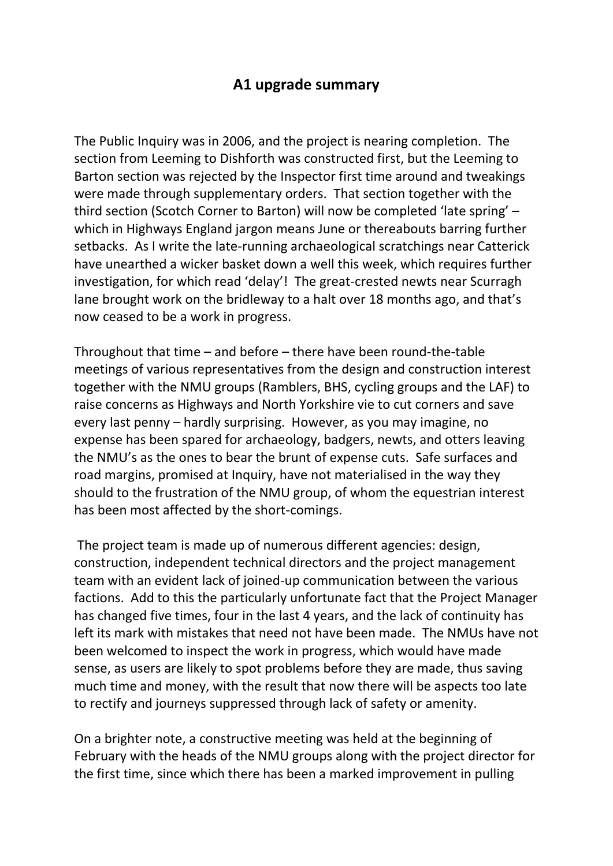# **A1 upgrade summary**

The Public Inquiry was in 2006, and the project is nearing completion. The section from Leeming to Dishforth was constructed first, but the Leeming to Barton section was rejected by the Inspector first time around and tweakings were made through supplementary orders. That section together with the third section (Scotch Corner to Barton) will now be completed 'late spring' – which in Highways England jargon means June or thereabouts barring further setbacks. As I write the late-running archaeological scratchings near Catterick have unearthed a wicker basket down a well this week, which requires further investigation, for which read 'delay'! The great-crested newts near Scurragh lane brought work on the bridleway to a halt over 18 months ago, and that's now ceased to be a work in progress.

Throughout that time – and before – there have been round-the-table meetings of various representatives from the design and construction interest together with the NMU groups (Ramblers, BHS, cycling groups and the LAF) to raise concerns as Highways and North Yorkshire vie to cut corners and save every last penny – hardly surprising. However, as you may imagine, no expense has been spared for archaeology, badgers, newts, and otters leaving the NMU's as the ones to bear the brunt of expense cuts. Safe surfaces and road margins, promised at Inquiry, have not materialised in the way they should to the frustration of the NMU group, of whom the equestrian interest has been most affected by the short-comings.

 The project team is made up of numerous different agencies: design, construction, independent technical directors and the project management team with an evident lack of joined-up communication between the various factions. Add to this the particularly unfortunate fact that the Project Manager has changed five times, four in the last 4 years, and the lack of continuity has left its mark with mistakes that need not have been made. The NMUs have not been welcomed to inspect the work in progress, which would have made sense, as users are likely to spot problems before they are made, thus saving much time and money, with the result that now there will be aspects too late to rectify and journeys suppressed through lack of safety or amenity.

On a brighter note, a constructive meeting was held at the beginning of February with the heads of the NMU groups along with the project director for the first time, since which there has been a marked improvement in pulling